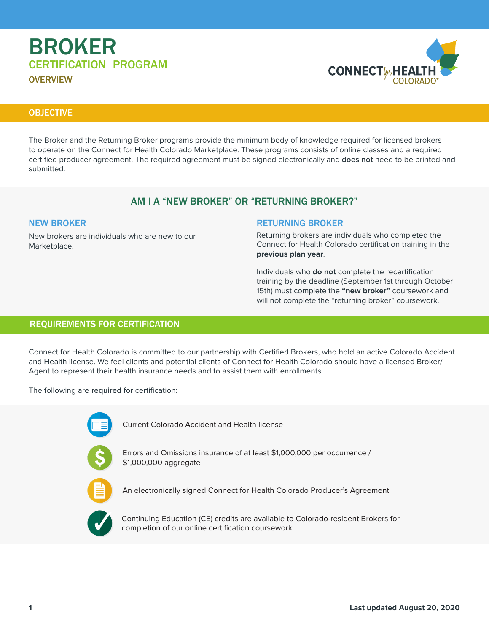# BROKER CERTIFICATION PROGRAM

**OVERVIEW** 



# **OBJECTIVE**

The Broker and the Returning Broker programs provide the minimum body of knowledge required for licensed brokers to operate on the Connect for Health Colorado Marketplace. These programs consists of online classes and a required certified producer agreement. The required agreement must be signed electronically and **does not** need to be printed and submitted.

# AM I A "NEW BROKER" OR "RETURNING BROKER?"

### NEW BROKER

New brokers are individuals who are new to our Marketplace.

### RETURNING BROKER

Returning brokers are individuals who completed the Connect for Health Colorado certification training in the **previous plan year**.

Individuals who **do not** complete the recertification training by the deadline (September 1st through October 15th) must complete the **"new broker"** coursework and will not complete the "returning broker" coursework.

# REQUIREMENTS FOR CERTIFICATION

Connect for Health Colorado is committed to our partnership with Certified Brokers, who hold an active Colorado Accident and Health license. We feel clients and potential clients of Connect for Health Colorado should have a licensed Broker/ Agent to represent their health insurance needs and to assist them with enrollments.

The following are **required** for certification:



Current Colorado Accident and Health license



Errors and Omissions insurance of at least \$1,000,000 per occurrence / \$1,000,000 aggregate



An electronically signed Connect for Health Colorado Producer's Agreement



Continuing Education (CE) credits are available to Colorado-resident Brokers for completion of our online certification coursework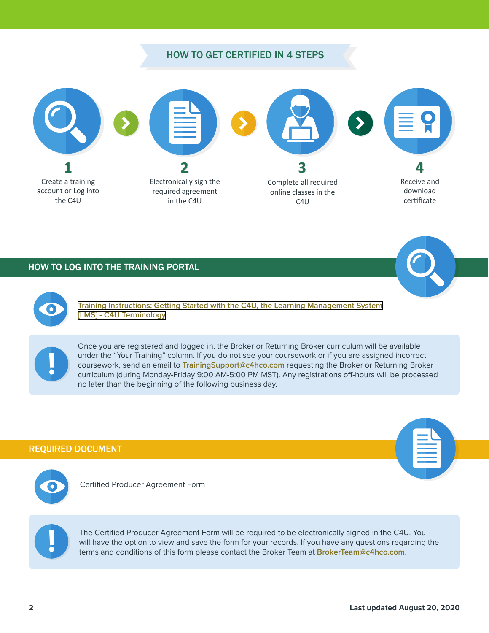# HOW TO GET CERTIFIED IN 4 STEPS



### HOW TO LOG INTO THE TRAINING PORTAL



**[Training Instructions: Getting Started with the C4U, the Learning Management System](#page-5-0) [\[LMS\] - C4U Terminology](#page-8-0)**

Once you are registered and logged in, the Broker or Returning Broker curriculum will be available under the "Your Training" column. If you do not see your coursework or if you are assigned incorrect coursework, send an email to **TrainingSupport@c4hco.com** requesting the Broker or Returning Broker curriculum (during Monday-Friday 9:00 AM-5:00 PM MST). Any registrations off-hours will be processed no later than the beginning of the following business day.

### REQUIRED DOCUMENT



Certified Producer Agreement Form



The Certified Producer Agreement Form will be required to be electronically signed in the C4U. You will have the option to view and save the form for your records. If you have any questions regarding the terms and conditions of this form please contact the Broker Team at **BrokerTeam@c4hco.com**.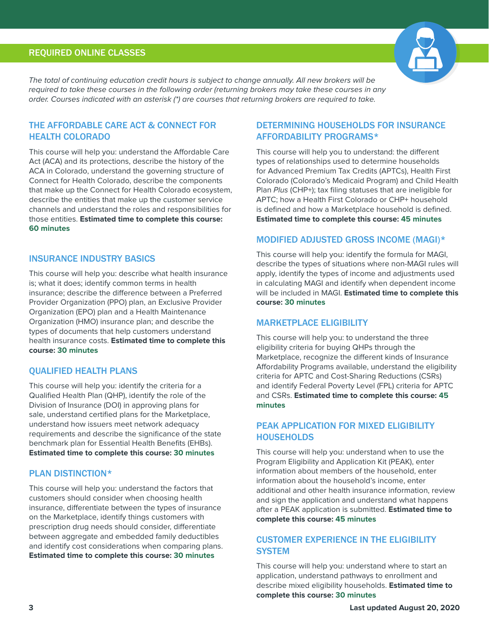# REQUIRED ONLINE CLASSES



The total of continuing education credit hours is subject to change annually. All new brokers will be required to take these courses in the following order (returning brokers may take these courses in any order. Courses indicated with an asterisk (\*) are courses that returning brokers are required to take.

# THE AFFORDABLE CARE ACT & CONNECT FOR HEALTH COLORADO

This course will help you: understand the Affordable Care Act (ACA) and its protections, describe the history of the ACA in Colorado, understand the governing structure of Connect for Health Colorado, describe the components that make up the Connect for Health Colorado ecosystem, describe the entities that make up the customer service channels and understand the roles and responsibilities for those entities. **Estimated time to complete this course: 60 minutes**

### INSURANCE INDUSTRY BASICS

This course will help you: describe what health insurance is; what it does; identify common terms in health insurance; describe the difference between a Preferred Provider Organization (PPO) plan, an Exclusive Provider Organization (EPO) plan and a Health Maintenance Organization (HMO) insurance plan; and describe the types of documents that help customers understand health insurance costs. **Estimated time to complete this course: 30 minutes**

# QUALIFIED HEALTH PLANS

This course will help you: identify the criteria for a Qualified Health Plan (QHP), identify the role of the Division of Insurance (DOI) in approving plans for sale, understand certified plans for the Marketplace, understand how issuers meet network adequacy requirements and describe the significance of the state benchmark plan for Essential Health Benefits (EHBs). **Estimated time to complete this course: 30 minutes**

### PLAN DISTINCTION\*

This course will help you: understand the factors that customers should consider when choosing health insurance, differentiate between the types of insurance on the Marketplace, identify things customers with prescription drug needs should consider, differentiate between aggregate and embedded family deductibles and identify cost considerations when comparing plans. **Estimated time to complete this course: 30 minutes** 

# DETERMINING HOUSEHOLDS FOR INSURANCE AFFORDABILITY PROGRAMS\*

This course will help you to understand: the different types of relationships used to determine households for Advanced Premium Tax Credits (APTCs), Health First Colorado (Colorado's Medicaid Program) and Child Health Plan Plus (CHP+); tax filing statuses that are ineligible for APTC; how a Health First Colorado or CHP+ household is defined and how a Marketplace household is defined. **Estimated time to complete this course: 45 minutes**

# MODIFIED ADJUSTED GROSS INCOME (MAGI)\*

This course will help you: identify the formula for MAGI, describe the types of situations where non-MAGI rules will apply, identify the types of income and adjustments used in calculating MAGI and identify when dependent income will be included in MAGI. **Estimated time to complete this course: 30 minutes**

### MARKETPLACE ELIGIBILITY

This course will help you: to understand the three eligibility criteria for buying QHPs through the Marketplace, recognize the different kinds of Insurance Affordability Programs available, understand the eligibility criteria for APTC and Cost-Sharing Reductions (CSRs) and identify Federal Poverty Level (FPL) criteria for APTC and CSRs. **Estimated time to complete this course: 45 minutes**

# PEAK APPLICATION FOR MIXED ELIGIBILITY **HOUSEHOLDS**

This course will help you: understand when to use the Program Eligibility and Application Kit (PEAK), enter information about members of the household, enter information about the household's income, enter additional and other health insurance information, review and sign the application and understand what happens after a PEAK application is submitted. **Estimated time to complete this course: 45 minutes**

# CUSTOMER EXPERIENCE IN THE ELIGIBILITY **SYSTEM**

This course will help you: understand where to start an application, understand pathways to enrollment and describe mixed eligibility households. **Estimated time to complete this course: 30 minutes**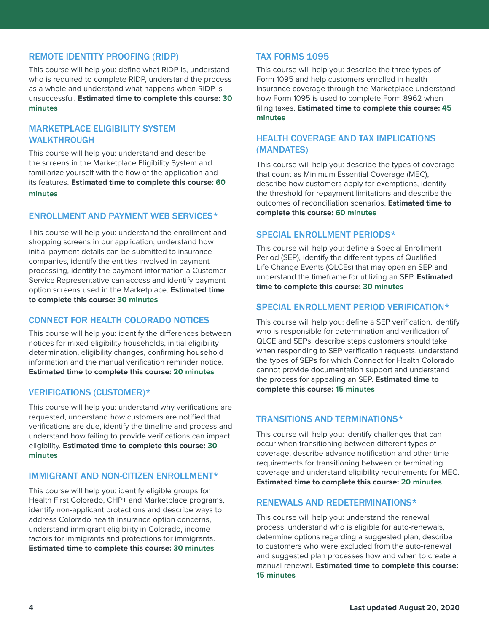# REMOTE IDENTITY PROOFING (RIDP)

This course will help you: define what RIDP is, understand who is required to complete RIDP, understand the process as a whole and understand what happens when RIDP is unsuccessful. **Estimated time to complete this course: 30 minutes**

# MARKETPLACE ELIGIBILITY SYSTEM WALKTHROUGH

This course will help you: understand and describe the screens in the Marketplace Eligibility System and familiarize yourself with the flow of the application and its features. **Estimated time to complete this course: 60 minutes**

### ENROLLMENT AND PAYMENT WEB SERVICES\*

This course will help you: understand the enrollment and shopping screens in our application, understand how initial payment details can be submitted to insurance companies, identify the entities involved in payment processing, identify the payment information a Customer Service Representative can access and identify payment option screens used in the Marketplace. **Estimated time to complete this course: 30 minutes**

# CONNECT FOR HEALTH COLORADO NOTICES

This course will help you: identify the differences between notices for mixed eligibility households, initial eligibility determination, eligibility changes, confirming household information and the manual verification reminder notice. **Estimated time to complete this course: 20 minutes**

### VERIFICATIONS (CUSTOMER)\*

This course will help you: understand why verifications are requested, understand how customers are notified that verifications are due, identify the timeline and process and understand how failing to provide verifications can impact eligibility. **Estimated time to complete this course: 30 minutes**

# IMMIGRANT AND NON-CITIZEN ENROLLMENT\*

This course will help you: identify eligible groups for Health First Colorado, CHP+ and Marketplace programs, identify non-applicant protections and describe ways to address Colorado health insurance option concerns, understand immigrant eligibility in Colorado, income factors for immigrants and protections for immigrants. **Estimated time to complete this course: 30 minutes**

# TAX FORMS 1095

This course will help you: describe the three types of Form 1095 and help customers enrolled in health insurance coverage through the Marketplace understand how Form 1095 is used to complete Form 8962 when filing taxes. **Estimated time to complete this course: 45 minutes**

# HEALTH COVERAGE AND TAX IMPLICATIONS (MANDATES)

This course will help you: describe the types of coverage that count as Minimum Essential Coverage (MEC), describe how customers apply for exemptions, identify the threshold for repayment limitations and describe the outcomes of reconciliation scenarios. **Estimated time to complete this course: 60 minutes**

### SPECIAL ENROLLMENT PERIODS\*

This course will help you: define a Special Enrollment Period (SEP), identify the different types of Qualified Life Change Events (QLCEs) that may open an SEP and understand the timeframe for utilizing an SEP. **Estimated time to complete this course: 30 minutes**

### SPECIAL ENROLLMENT PERIOD VERIFICATION\*

This course will help you: define a SEP verification, identify who is responsible for determination and verification of QLCE and SEPs, describe steps customers should take when responding to SEP verification requests, understand the types of SEPs for which Connect for Health Colorado cannot provide documentation support and understand the process for appealing an SEP. **Estimated time to complete this course: 15 minutes**

### TRANSITIONS AND TERMINATIONS\*

This course will help you: identify challenges that can occur when transitioning between different types of coverage, describe advance notification and other time requirements for transitioning between or terminating coverage and understand eligibility requirements for MEC. **Estimated time to complete this course: 20 minutes**

### RENEWALS AND REDETERMINATIONS\*

This course will help you: understand the renewal process, understand who is eligible for auto-renewals, determine options regarding a suggested plan, describe to customers who were excluded from the auto-renewal and suggested plan processes how and when to create a manual renewal. **Estimated time to complete this course: 15 minutes**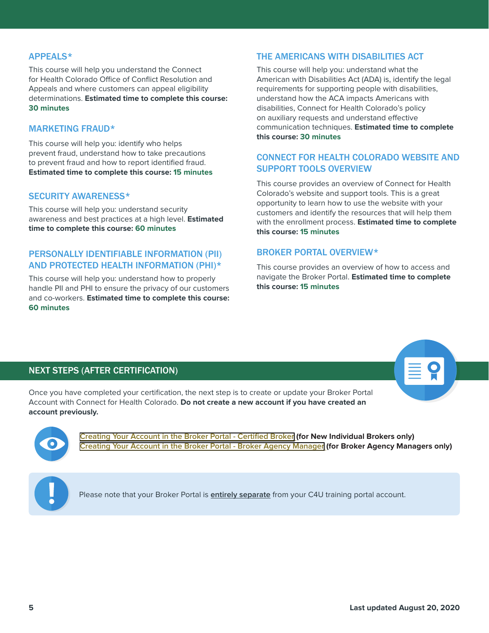# APPEALS\*

This course will help you understand the Connect for Health Colorado Office of Conflict Resolution and Appeals and where customers can appeal eligibility determinations. **Estimated time to complete this course: 30 minutes**

### MARKETING FRAUD\*

This course will help you: identify who helps prevent fraud, understand how to take precautions to prevent fraud and how to report identified fraud. **Estimated time to complete this course: 15 minutes**

### SECURITY AWARENESS\*

This course will help you: understand security awareness and best practices at a high level. **Estimated time to complete this course: 60 minutes**

# PERSONALLY IDENTIFIABLE INFORMATION (PII) AND PROTECTED HEALTH INFORMATION (PHI)\*

This course will help you: understand how to properly handle PII and PHI to ensure the privacy of our customers and co-workers. **Estimated time to complete this course: 60 minutes**

# THE AMERICANS WITH DISABILITIES ACT

This course will help you: understand what the American with Disabilities Act (ADA) is, identify the legal requirements for supporting people with disabilities, understand how the ACA impacts Americans with disabilities, Connect for Health Colorado's policy on auxiliary requests and understand effective communication techniques. **Estimated time to complete this course: 30 minutes**

# CONNECT FOR HEALTH COLORADO WEBSITE AND SUPPORT TOOLS OVERVIEW

This course provides an overview of Connect for Health Colorado's website and support tools. This is a great opportunity to learn how to use the website with your customers and identify the resources that will help them with the enrollment process. **Estimated time to complete this course: 15 minutes**

### BROKER PORTAL OVERVIEW\*

This course provides an overview of how to access and navigate the Broker Portal. **Estimated time to complete this course: 15 minutes**

# NEXT STEPS (AFTER CERTIFICATION)

Once you have completed your certification, the next step is to create or update your Broker Portal Account with Connect for Health Colorado. **Do not create a new account if you have created an account previously.**



**[Creating Your Account in the Broker Portal - Certified Broker](#page-9-0) (for New Individual Brokers only) [Creating Your Account in the Broker Portal - Broker Agency Manager](#page-11-0) (for Broker Agency Managers only)**



Please note that your Broker Portal is **entirely separate** from your C4U training portal account.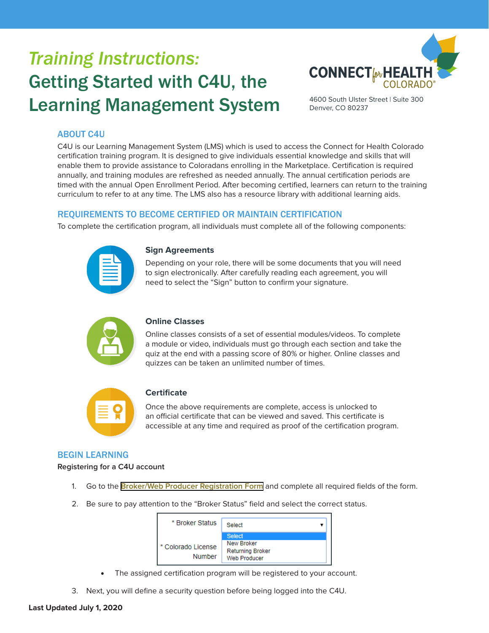# <span id="page-5-0"></span>*Training Instructions:* Getting Started with C4U, the Learning Management System



4600 South Ulster Street | Suite 300 Denver, CO 80237

# ABOUT C4U

C4U is our Learning Management System (LMS) which is used to access the Connect for Health Colorado certification training program. It is designed to give individuals essential knowledge and skills that will enable them to provide assistance to Coloradans enrolling in the Marketplace. Certification is required annually, and training modules are refreshed as needed annually. The annual certification periods are timed with the annual Open Enrollment Period. After becoming certified, learners can return to the training curriculum to refer to at any time. The LMS also has a resource library with additional learning aids.

# REQUIREMENTS TO BECOME CERTIFIED OR MAINTAIN CERTIFICATION

To complete the certification program, all individuals must complete all of the following components:

### **Sign Agreements**

Depending on your role, there will be some documents that you will need to sign electronically. After carefully reading each agreement, you will need to select the "Sign" button to confirm your signature.



### **Online Classes**

Online classes consists of a set of essential modules/videos. To complete a module or video, individuals must go through each section and take the quiz at the end with a passing score of 80% or higher. Online classes and quizzes can be taken an unlimited number of times.



# **Certificate**

Once the above requirements are complete, access is unlocked to an official certificate that can be viewed and saved. This certificate is accessible at any time and required as proof of the certification program.

# BEGIN LEARNING

**Registering for a C4U account**

- 1. Go to the **[Broker/Web Producer Registration Form](https://c4hco.csod.com/selfreg/register.aspx?c=%255e%255e%255eBo6DC1I6SnwIuNXGtplgHQ%253d%253d)** and complete all required fields of the form.
- 2. Be sure to pay attention to the "Broker Status" field and select the correct status.



- The assigned certification program will be registered to your account.
- 3. Next, you will define a security question before being logged into the C4U.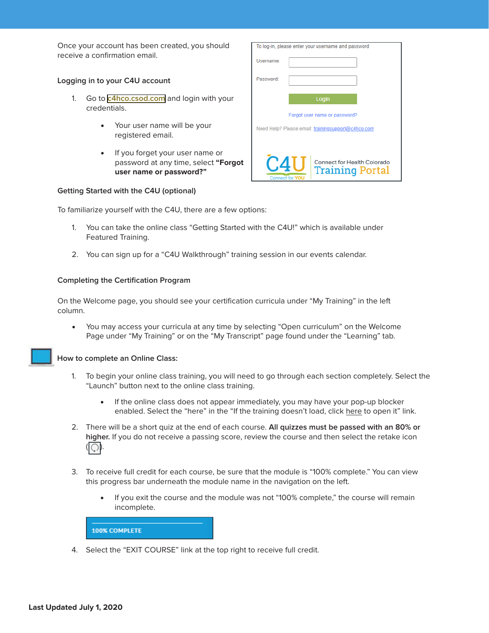Once your account has been created, you should receive a confirmation email.

### **Logging in to your C4U account**

- 1. Go to **[c4hco.csod.com](https://c4hco.csod.com/client/c4hco/default.aspx)** and login with your credentials.
	- Your user name will be your registered email.
	- If you forget your user name or password at any time, select **"Forgot user name or password?"**

| To log-in, please enter your username and password                                        |  |  |
|-------------------------------------------------------------------------------------------|--|--|
| Username:                                                                                 |  |  |
| Password:                                                                                 |  |  |
| Login                                                                                     |  |  |
| Forgot user name or password?                                                             |  |  |
| Need Help? Please email: trainingsupport@c4hco.com                                        |  |  |
| $\Box$<br>Connect for Health Colorado<br><b>Training Portal</b><br><b>Connect for YOU</b> |  |  |

#### **Getting Started with the C4U (optional)**

To familiarize yourself with the C4U, there are a few options:

- 1. You can take the online class "Getting Started with the C4U!" which is available under Featured Training.
- 2. You can sign up for a "C4U Walkthrough" training session in our events calendar.

#### **Completing the Certification Program**

On the Welcome page, you should see your certification curricula under "My Training" in the left column.

• You may access your curricula at any time by selecting "Open curriculum" on the Welcome Page under "My Training" or on the "My Transcript" page found under the "Learning" tab.

**How to complete an Online Class:**

- 1. To begin your online class training, you will need to go through each section completely. Select the "Launch" button next to the online class training.
	- If the online class does not appear immediately, you may have your pop-up blocker enabled. Select the "here" in the "If the training doesn't load, click here to open it" link.
- 2. There will be a short quiz at the end of each course. **All quizzes must be passed with an 80% or higher.** If you do not receive a passing score, review the course and then select the retake icon  $\langle | \bigcirc \rangle$
- 3. To receive full credit for each course, be sure that the module is "100% complete." You can view this progress bar underneath the module name in the navigation on the left.
	- If you exit the course and the module was not "100% complete," the course will remain incomplete.



4. Select the "EXIT COURSE" link at the top right to receive full credit.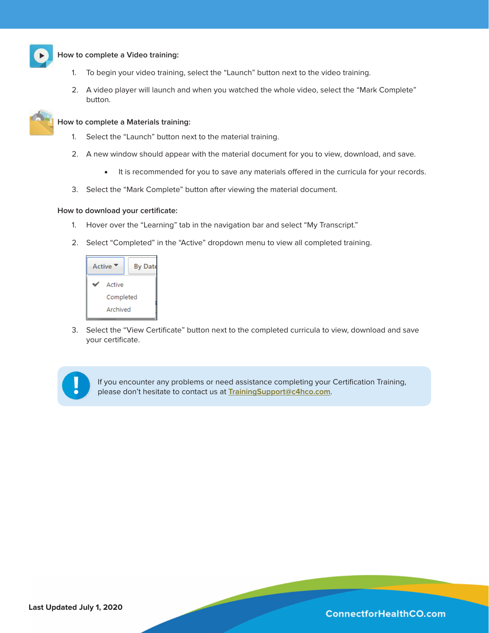

### **How to complete a Video training:**

- 1. To begin your video training, select the "Launch" button next to the video training.
- 2. A video player will launch and when you watched the whole video, select the "Mark Complete" button.



#### **How to complete a Materials training:**

- 1. Select the "Launch" button next to the material training.
- 2. A new window should appear with the material document for you to view, download, and save.
	- It is recommended for you to save any materials offered in the curricula for your records.
- 3. Select the "Mark Complete" button after viewing the material document.

### **How to download your certificate:**

- 1. Hover over the "Learning" tab in the navigation bar and select "My Transcript."
- 2. Select "Completed" in the "Active" dropdown menu to view all completed training.



3. Select the "View Certificate" button next to the completed curricula to view, download and save your certificate.



If you encounter any problems or need assistance completing your Certification Training, please don't hesitate to contact us at **TrainingSupport@c4hco.com**.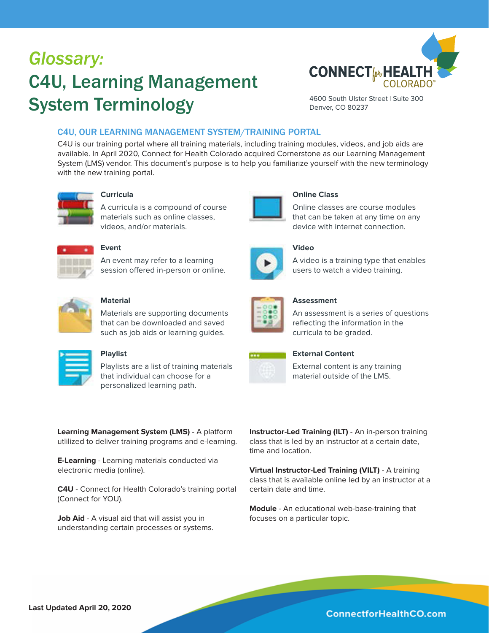# <span id="page-8-0"></span>*Glossary:* C4U, Learning Management System Terminology



4600 South Ulster Street | Suite 300 Denver, CO 80237

# C4U, OUR LEARNING MANAGEMENT SYSTEM/TRAINING PORTAL

C4U is our training portal where all training materials, including training modules, videos, and job aids are available. In April 2020, Connect for Health Colorado acquired Cornerstone as our Learning Management System (LMS) vendor. This document's purpose is to help you familiarize yourself with the new terminology with the new training portal.



# **Curricula**

A curricula is a compound of course materials such as online classes, videos, and/or materials.



### **Event**

An event may refer to a learning session offered in-person or online.



# **Material**

Materials are supporting documents that can be downloaded and saved such as job aids or learning guides.

| ____ |  |
|------|--|
|      |  |
|      |  |

# **Playlist**

Playlists are a list of training materials that individual can choose for a personalized learning path.

**Learning Management System (LMS)** - A platform utlilized to deliver training programs and e-learning.

**E-Learning** - Learning materials conducted via electronic media (online).

**C4U** - Connect for Health Colorado's training portal (Connect for YOU).

**Job Aid** - A visual aid that will assist you in understanding certain processes or systems.



**Virtual Instructor-Led Training (VILT)** - A training class that is available online led by an instructor at a certain date and time.

**Module** - An educational web-base-training that focuses on a particular topic.





# **Video**

**Online Class**

A video is a training type that enables users to watch a video training.

Online classes are course modules that can be taken at any time on any device with internet connection.



# **Assessment**

An assessment is a series of questions reflecting the information in the curricula to be graded.



### **External Content**

External content is any training material outside of the LMS.

**Last Updated April 20, 2020**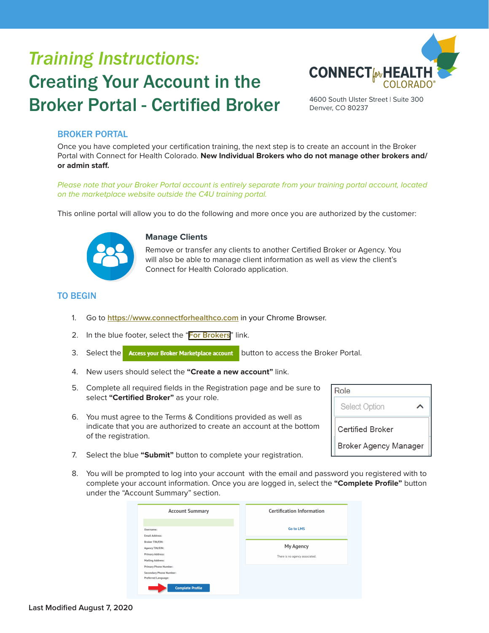# <span id="page-9-0"></span>*Training Instructions:* Creating Your Account in the Broker Portal - Certified Broker



4600 South Ulster Street | Suite 300 Denver, CO 80237

# BROKER PORTAL

Once you have completed your certification training, the next step is to create an account in the Broker Portal with Connect for Health Colorado. **New Individual Brokers who do not manage other brokers and/ or admin staff.**

Please note that your Broker Portal account is entirely separate from your training portal account, located on the marketplace website outside the C4U training portal.

This online portal will allow you to do the following and more once you are authorized by the customer:



### **Manage Clients**

Remove or transfer any clients to another Certified Broker or Agency. You will also be able to manage client information as well as view the client's Connect for Health Colorado application.

# TO BEGIN

- 1. Go to **https://www.connectforhealthco.com** in your Chrome Browser.
- 2. In the blue footer, select the "**[For Brokers](https://connectforhealthco.com/for-certified-brokers/)**" link.
- 3. Select the Access your Broker Marketplace account button to access the Broker Portal.
- 4. New users should select the **"Create a new account"** link.
- 5. Complete all required fields in the Registration page and be sure to select **"Certified Broker"** as your role.
- 6. You must agree to the Terms & Conditions provided as well as indicate that you are authorized to create an account at the bottom of the registration.

| Role                         |  |
|------------------------------|--|
| <b>Select Option</b>         |  |
| Certified Broker             |  |
| <b>Broker Agency Manager</b> |  |

- 7. Select the blue **"Submit"** button to complete your registration.
- 8. You will be prompted to log into your account with the email and password you registered with to complete your account information. Once you are logged in, select the **"Complete Profile"** button under the "Account Summary" section.

| <b>Account Summary</b>         | <b>Certification Information</b> |
|--------------------------------|----------------------------------|
| Username:                      | <b>Go to LMS</b>                 |
| <b>Fmail Address:</b>          |                                  |
| <b>Broker TIN/EIN:</b>         |                                  |
| <b>Agency TIN/EIN:</b>         | <b>My Agency</b>                 |
| <b>Primary Address:</b>        | There is no agency associated.   |
| <b>Mailing Address:</b>        |                                  |
| <b>Primary Phone Number:</b>   |                                  |
| <b>Secondary Phone Number:</b> |                                  |
| Preferred Language:            |                                  |
| <b>Complete Profile</b>        |                                  |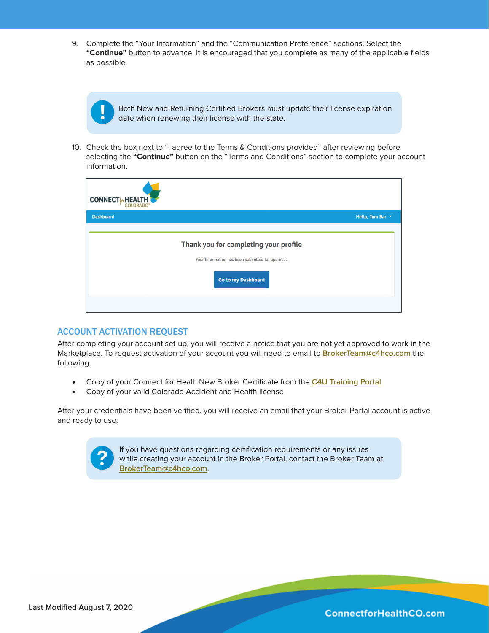9. Complete the "Your Information" and the "Communication Preference" sections. Select the **"Continue"** button to advance. It is encouraged that you complete as many of the applicable fields as possible.

> Both New and Returning Certified Brokers must update their license expiration date when renewing their license with the state.

10. Check the box next to "I agree to the Terms & Conditions provided" after reviewing before selecting the **"Continue"** button on the "Terms and Conditions" section to complete your account information.

| <b>CONNECT</b> <sup><i>w</i></sup> HEALTH<br><b>COLORADO</b> |                                                                                                                  |                  |
|--------------------------------------------------------------|------------------------------------------------------------------------------------------------------------------|------------------|
| <b>Dashboard</b>                                             |                                                                                                                  | Hello, Tom Bar ~ |
|                                                              | Thank you for completing your profile<br>Your Information has been submitted for approval.<br>Go to my Dashboard |                  |

### ACCOUNT ACTIVATION REQUEST

After completing your account set-up, you will receive a notice that you are not yet approved to work in the Marketplace. To request activation of your account you will need to email to **BrokerTeam@c4hco.com** the following:

- Copy of your Connect for Healh New Broker Certificate from the **C4U Training Portal**
- Copy of your valid Colorado Accident and Health license

After your credentials have been verified, you will receive an email that your Broker Portal account is active and ready to use.



If you have questions regarding certification requirements or any issues while creating your account in the Broker Portal, contact the Broker Team at **BrokerTeam@c4hco.com**.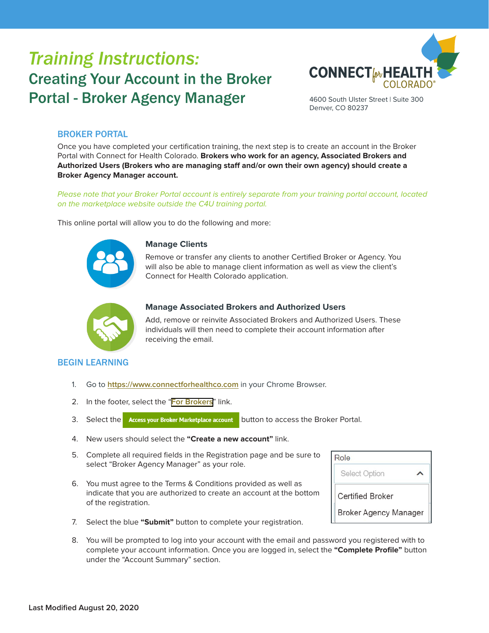# <span id="page-11-0"></span>*Training Instructions:* Creating Your Account in the Broker Portal - Broker Agency Manager



4600 South Ulster Street | Suite 300 Denver, CO 80237

# BROKER PORTAL

Once you have completed your certification training, the next step is to create an account in the Broker Portal with Connect for Health Colorado. **Brokers who work for an agency, Associated Brokers and Authorized Users (Brokers who are managing staff and/or own their own agency) should create a Broker Agency Manager account.**

Please note that your Broker Portal account is entirely separate from your training portal account, located on the marketplace website outside the C4U training portal.

This online portal will allow you to do the following and more:



### **Manage Clients**

Remove or transfer any clients to another Certified Broker or Agency. You will also be able to manage client information as well as view the client's Connect for Health Colorado application.



### **Manage Associated Brokers and Authorized Users**

Add, remove or reinvite Associated Brokers and Authorized Users. These individuals will then need to complete their account information after receiving the email.

### BEGIN LEARNING

- 1. Go to **https://www.connectforhealthco.com** in your Chrome Browser.
- 2. In the footer, select the "**[For Brokers](https://connectforhealthco.com/for-certified-brokers/)**" link.
- 3. Select the Access your Broker Marketplace account button to access the Broker Portal.
- 4. New users should select the **"Create a new account"** link.
- 5. Complete all required fields in the Registration page and be sure to select "Broker Agency Manager" as your role.
- 6. You must agree to the Terms & Conditions provided as well as indicate that you are authorized to create an account at the bottom of the registration.

| Role                         |  |
|------------------------------|--|
| <b>Select Option</b>         |  |
| Certified Broker             |  |
| <b>Broker Agency Manager</b> |  |

- 7. Select the blue **"Submit"** button to complete your registration.
- 8. You will be prompted to log into your account with the email and password you registered with to complete your account information. Once you are logged in, select the **"Complete Profile"** button under the "Account Summary" section.